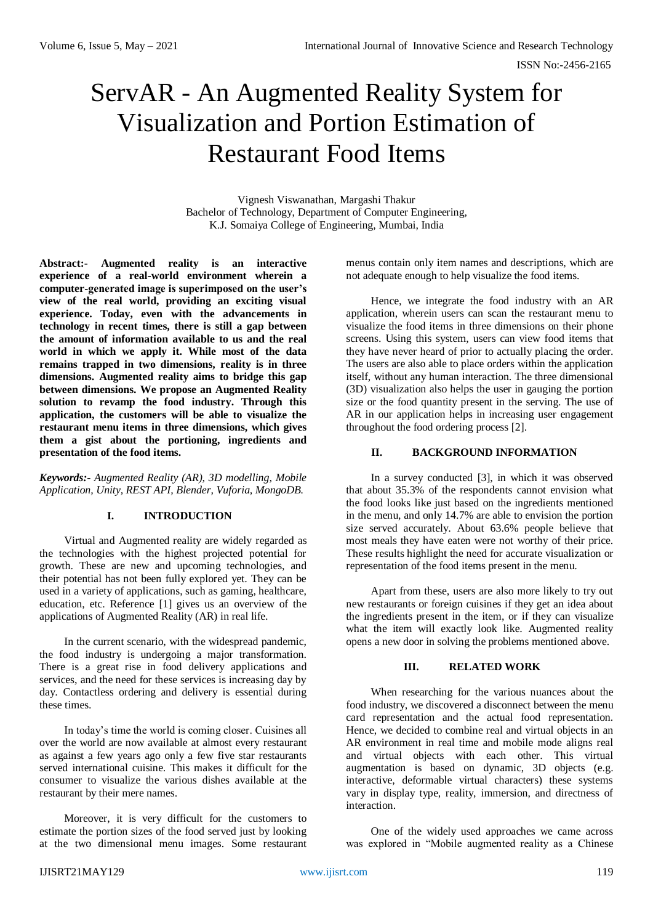# ServAR - An Augmented Reality System for Visualization and Portion Estimation of Restaurant Food Items

Vignesh Viswanathan, Margashi Thakur Bachelor of Technology, Department of Computer Engineering, K.J. Somaiya College of Engineering, Mumbai, India

**Abstract:- Augmented reality is an interactive experience of a real-world environment wherein a computer-generated image is superimposed on the user's view of the real world, providing an exciting visual experience. Today, even with the advancements in technology in recent times, there is still a gap between the amount of information available to us and the real world in which we apply it. While most of the data remains trapped in two dimensions, reality is in three dimensions. Augmented reality aims to bridge this gap between dimensions. We propose an Augmented Reality solution to revamp the food industry. Through this application, the customers will be able to visualize the restaurant menu items in three dimensions, which gives them a gist about the portioning, ingredients and presentation of the food items.**

*Keywords:- Augmented Reality (AR), 3D modelling, Mobile Application, Unity, REST API, Blender, Vuforia, MongoDB.*

# **I. INTRODUCTION**

Virtual and Augmented reality are widely regarded as the technologies with the highest projected potential for growth. These are new and upcoming technologies, and their potential has not been fully explored yet. They can be used in a variety of applications, such as gaming, healthcare, education, etc. Reference [1] gives us an overview of the applications of Augmented Reality (AR) in real life.

In the current scenario, with the widespread pandemic, the food industry is undergoing a major transformation. There is a great rise in food delivery applications and services, and the need for these services is increasing day by day. Contactless ordering and delivery is essential during these times.

In today's time the world is coming closer. Cuisines all over the world are now available at almost every restaurant as against a few years ago only a few five star restaurants served international cuisine. This makes it difficult for the consumer to visualize the various dishes available at the restaurant by their mere names.

Moreover, it is very difficult for the customers to estimate the portion sizes of the food served just by looking at the two dimensional menu images. Some restaurant menus contain only item names and descriptions, which are not adequate enough to help visualize the food items.

Hence, we integrate the food industry with an AR application, wherein users can scan the restaurant menu to visualize the food items in three dimensions on their phone screens. Using this system, users can view food items that they have never heard of prior to actually placing the order. The users are also able to place orders within the application itself, without any human interaction. The three dimensional (3D) visualization also helps the user in gauging the portion size or the food quantity present in the serving. The use of AR in our application helps in increasing user engagement throughout the food ordering process [2].

# **II. BACKGROUND INFORMATION**

In a survey conducted [3], in which it was observed that about 35.3% of the respondents cannot envision what the food looks like just based on the ingredients mentioned in the menu, and only 14.7% are able to envision the portion size served accurately. About 63.6% people believe that most meals they have eaten were not worthy of their price. These results highlight the need for accurate visualization or representation of the food items present in the menu.

Apart from these, users are also more likely to try out new restaurants or foreign cuisines if they get an idea about the ingredients present in the item, or if they can visualize what the item will exactly look like. Augmented reality opens a new door in solving the problems mentioned above.

# **III. RELATED WORK**

When researching for the various nuances about the food industry, we discovered a disconnect between the menu card representation and the actual food representation. Hence, we decided to combine real and virtual objects in an AR environment in real time and mobile mode aligns real and virtual objects with each other. This virtual augmentation is based on dynamic, 3D objects (e.g. interactive, deformable virtual characters) these systems vary in display type, reality, immersion, and directness of interaction.

One of the widely used approaches we came across was explored in "Mobile augmented reality as a Chinese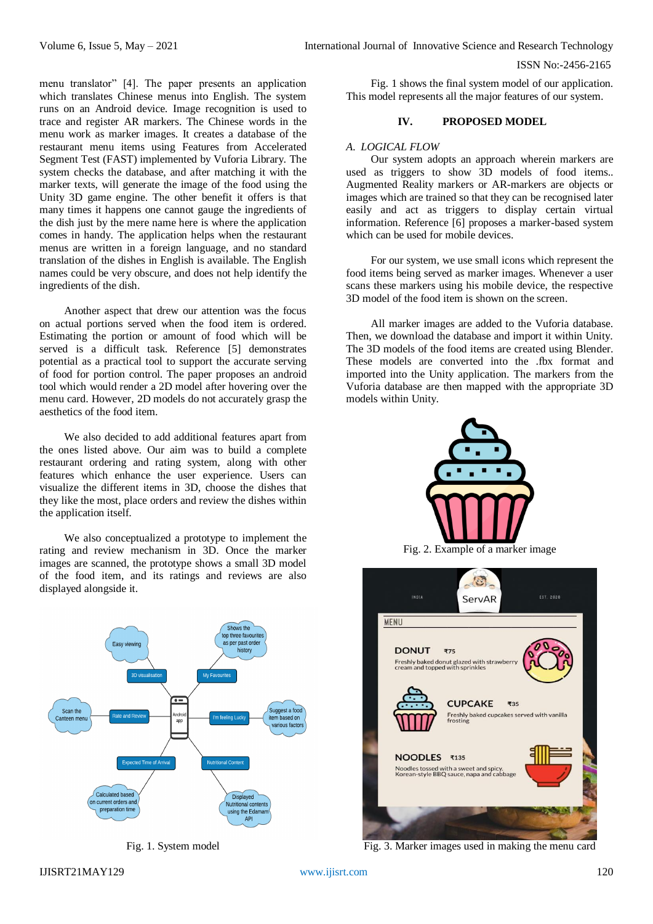menu translator" [4]. The paper presents an application which translates Chinese menus into English. The system runs on an Android device. Image recognition is used to trace and register AR markers. The Chinese words in the menu work as marker images. It creates a database of the restaurant menu items using Features from Accelerated Segment Test (FAST) implemented by Vuforia Library. The system checks the database, and after matching it with the marker texts, will generate the image of the food using the Unity 3D game engine. The other benefit it offers is that many times it happens one cannot gauge the ingredients of the dish just by the mere name here is where the application comes in handy. The application helps when the restaurant menus are written in a foreign language, and no standard translation of the dishes in English is available. The English names could be very obscure, and does not help identify the ingredients of the dish.

Another aspect that drew our attention was the focus on actual portions served when the food item is ordered. Estimating the portion or amount of food which will be served is a difficult task. Reference [5] demonstrates potential as a practical tool to support the accurate serving of food for portion control. The paper proposes an android tool which would render a 2D model after hovering over the menu card. However, 2D models do not accurately grasp the aesthetics of the food item.

We also decided to add additional features apart from the ones listed above. Our aim was to build a complete restaurant ordering and rating system, along with other features which enhance the user experience. Users can visualize the different items in 3D, choose the dishes that they like the most, place orders and review the dishes within the application itself.

We also conceptualized a prototype to implement the rating and review mechanism in 3D. Once the marker images are scanned, the prototype shows a small 3D model of the food item, and its ratings and reviews are also displayed alongside it.



Fig. 1. System model

Fig. 1 shows the final system model of our application. This model represents all the major features of our system.

# **IV. PROPOSED MODEL**

## *A. LOGICAL FLOW*

Our system adopts an approach wherein markers are used as triggers to show 3D models of food items.. Augmented Reality markers or AR-markers are objects or images which are trained so that they can be recognised later easily and act as triggers to display certain virtual information. Reference [6] proposes a marker-based system which can be used for mobile devices.

For our system, we use small icons which represent the food items being served as marker images. Whenever a user scans these markers using his mobile device, the respective 3D model of the food item is shown on the screen.

All marker images are added to the Vuforia database. Then, we download the database and import it within Unity. The 3D models of the food items are created using Blender. These models are converted into the .fbx format and imported into the Unity application. The markers from the Vuforia database are then mapped with the appropriate 3D models within Unity.



 $\mathbf{C}$ **INDIA** EST. 2020 ServAR **MENU DONUT** ₹75 Freshly baked donut glazed with strawb<br>cream and topped with sprinkles **CUPCAKE** ₹35 Freshly baked cupcakes served with vanilla<br>frosting NOODLES ₹135 .<br>Noodles tossed with a sweet and spicy.<br>Korean-style BBQ sauce, napa and cabbage

Fig. 3. Marker images used in making the menu card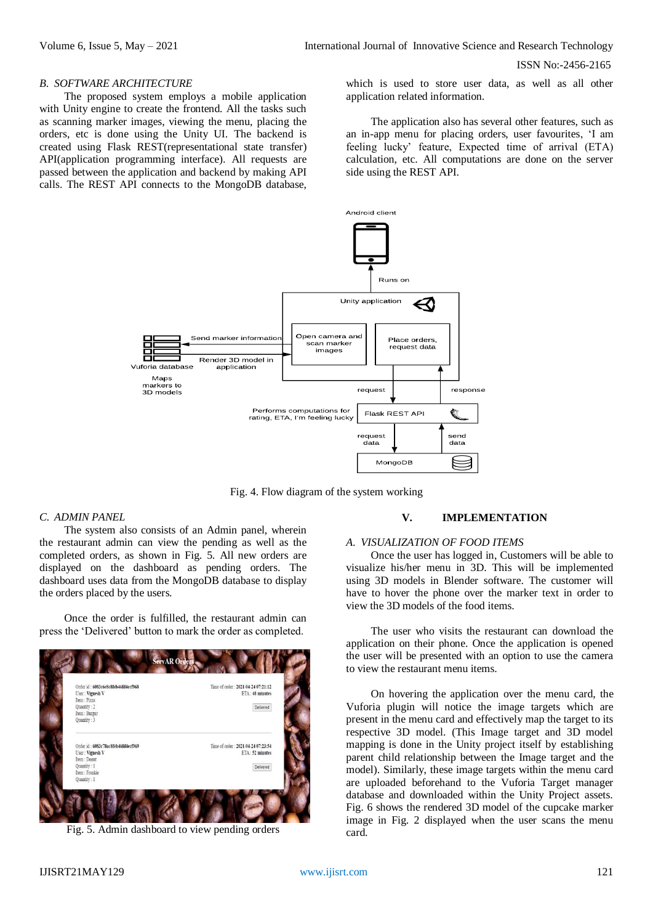#### *B. SOFTWARE ARCHITECTURE*

The proposed system employs a mobile application with Unity engine to create the frontend. All the tasks such as scanning marker images, viewing the menu, placing the orders, etc is done using the Unity UI. The backend is created using Flask REST(representational state transfer) API(application programming interface). All requests are passed between the application and backend by making API calls. The REST API connects to the MongoDB database,

which is used to store user data, as well as all other application related information.

The application also has several other features, such as an in-app menu for placing orders, user favourites, 'I am feeling lucky' feature, Expected time of arrival (ETA) calculation, etc. All computations are done on the server side using the REST API.



Fig. 4. Flow diagram of the system working

## *C. ADMIN PANEL*

The system also consists of an Admin panel, wherein the restaurant admin can view the pending as well as the completed orders, as shown in Fig. 5. All new orders are displayed on the dashboard as pending orders. The dashboard uses data from the MongoDB database to display the orders placed by the users.

Once the order is fulfilled, the restaurant admin can press the 'Delivered' button to mark the order as completed.



Fig. 5. Admin dashboard to view pending orders

## **V. IMPLEMENTATION**

# *A. VISUALIZATION OF FOOD ITEMS*

Once the user has logged in, Customers will be able to visualize his/her menu in 3D. This will be implemented using 3D models in Blender software. The customer will have to hover the phone over the marker text in order to view the 3D models of the food items.

The user who visits the restaurant can download the application on their phone. Once the application is opened the user will be presented with an option to use the camera to view the restaurant menu items.

On hovering the application over the menu card, the Vuforia plugin will notice the image targets which are present in the menu card and effectively map the target to its respective 3D model. (This Image target and 3D model mapping is done in the Unity project itself by establishing parent child relationship between the Image target and the model). Similarly, these image targets within the menu card are uploaded beforehand to the Vuforia Target manager database and downloaded within the Unity Project assets. Fig. 6 shows the rendered 3D model of the cupcake marker image in Fig. 2 displayed when the user scans the menu card.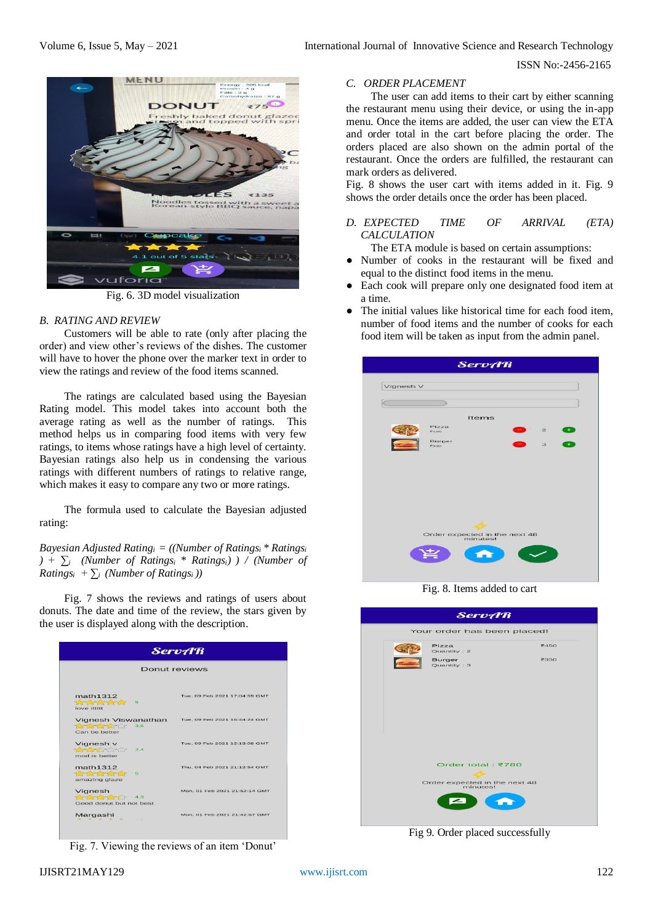

Fig. 6. 3D model visualization

### *B. RATING AND REVIEW*

Customers will be able to rate (only after placing the order) and view other's reviews of the dishes. The customer will have to hover the phone over the marker text in order to view the ratings and review of the food items scanned.

The ratings are calculated based using the Bayesian Rating model. This model takes into account both the average rating as well as the number of ratings. This method helps us in comparing food items with very few ratings, to items whose ratings have a high level of certainty. Bayesian ratings also help us in condensing the various ratings with different numbers of ratings to relative range, which makes it easy to compare any two or more ratings.

The formula used to calculate the Bayesian adjusted rating:

*Bayesian Adjusted Ratingi = ((Number of Ratingsi \* Ratings<sup>i</sup> ) + ∑i (Number of Ratingsi \* Ratingsi) ) / (Number of Ratings*<sup>*i*</sup> +  $\sum$ <sup>*i*</sup> (*Number of Ratings*<sup>*i*</sup>))

Fig. 7 shows the reviews and ratings of users about donuts. The date and time of the review, the stars given by the user is displayed along with the description.

| <b>ServAR</b><br>Donut reviews                                                         |                               |  |
|----------------------------------------------------------------------------------------|-------------------------------|--|
|                                                                                        |                               |  |
| Vignesh Viswanathan<br><b>Recording to the Second Property</b><br>3.6<br>Can be better | Tue, 09 Feb 2021 16:44:24 GMT |  |
| Vignesh v<br><b>ROCKETTS</b><br>2.4<br>mod is better.                                  | Tue, 09 Feb 2021 12:13:08 GMT |  |
| math1312<br>55<br>The State of the State of the State<br>amazing glaze                 | Thu, 04 Feb 2021 21:12:54 GMT |  |
| Vignesh<br><b>Seminar Antico</b> r 4.3<br>Good donut but not best                      | Mon. 01 Feb 2021 21:52:14 GMT |  |
| Margashi<br>$A \times A \times A$                                                      | Mon. 01 Feb 2021 21:42:57 GMT |  |

Fig. 7. Viewing the reviews of an item 'Donut'

# *C. ORDER PLACEMENT*

The user can add items to their cart by either scanning the restaurant menu using their device, or using the in-app menu. Once the items are added, the user can view the ETA and order total in the cart before placing the order. The orders placed are also shown on the admin portal of the restaurant. Once the orders are fulfilled, the restaurant can mark orders as delivered.

Fig. 8 shows the user cart with items added in it. Fig. 9 shows the order details once the order has been placed.

*D. EXPECTED TIME OF ARRIVAL (ETA) CALCULATION*

The ETA module is based on certain assumptions:

- Number of cooks in the restaurant will be fixed and equal to the distinct food items in the menu.
- Each cook will prepare only one designated food item at a time.
- The initial values like historical time for each food item. number of food items and the number of cooks for each food item will be taken as input from the admin panel.

| Items    |              |                               |
|----------|--------------|-------------------------------|
|          |              |                               |
|          |              |                               |
|          |              |                               |
|          | $\mathbf{2}$ |                               |
|          | $\mathbf{3}$ |                               |
|          |              |                               |
| minutes! |              |                               |
|          |              |                               |
|          |              | Order expected in the next 48 |

Fig. 8. Items added to cart



Fig 9. Order placed successfully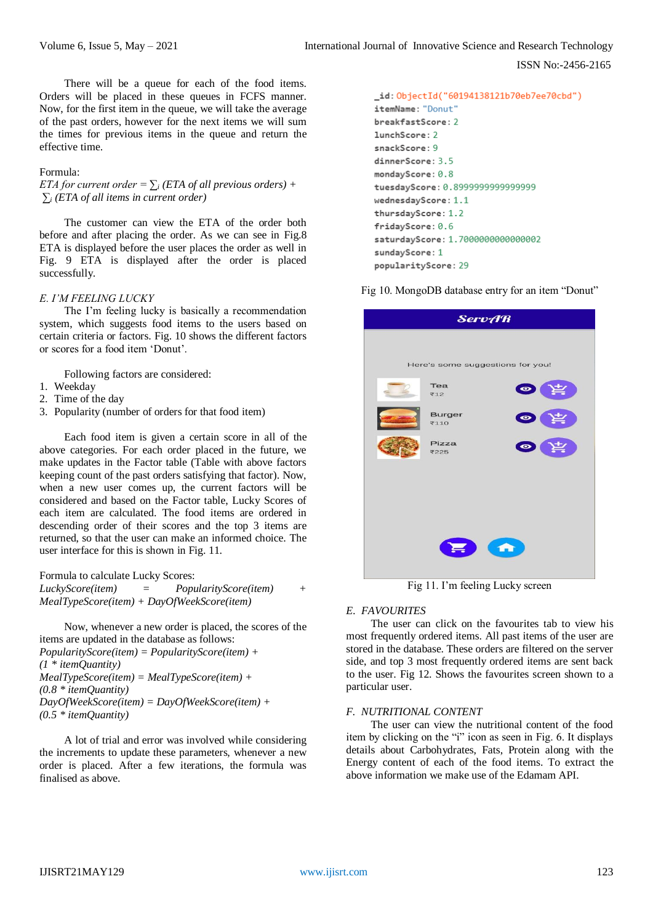There will be a queue for each of the food items. Orders will be placed in these queues in FCFS manner. Now, for the first item in the queue, we will take the average of the past orders, however for the next items we will sum the times for previous items in the queue and return the effective time.

#### Formula:

*ETA for current order* =  $\sum_i$  *(ETA of all previous orders)* + *∑<sup>i</sup> (ETA of all items in current order)*

The customer can view the ETA of the order both before and after placing the order. As we can see in Fig.8 ETA is displayed before the user places the order as well in Fig. 9 ETA is displayed after the order is placed successfully.

## *E. I'M FEELING LUCKY*

The I'm feeling lucky is basically a recommendation system, which suggests food items to the users based on certain criteria or factors. Fig. 10 shows the different factors or scores for a food item 'Donut'.

Following factors are considered:

- 1. Weekday
- 2. Time of the day
- 3. Popularity (number of orders for that food item)

Each food item is given a certain score in all of the above categories. For each order placed in the future, we make updates in the Factor table (Table with above factors keeping count of the past orders satisfying that factor). Now, when a new user comes up, the current factors will be considered and based on the Factor table, Lucky Scores of each item are calculated. The food items are ordered in descending order of their scores and the top 3 items are returned, so that the user can make an informed choice. The user interface for this is shown in Fig. 11.

Formula to calculate Lucky Scores: *LuckyScore(item) = PopularityScore(item) + MealTypeScore(item) + DayOfWeekScore(item)*

Now, whenever a new order is placed, the scores of the items are updated in the database as follows: *PopularityScore(item) = PopularityScore(item) + (1 \* itemQuantity) MealTypeScore(item) = MealTypeScore(item) + (0.8 \* itemQuantity) DayOfWeekScore(item) = DayOfWeekScore(item) + (0.5 \* itemQuantity)* 

A lot of trial and error was involved while considering the increments to update these parameters, whenever a new order is placed. After a few iterations, the formula was finalised as above.

```
id: ObjectId("60194138121b70eb7ee70cbd")
itemName: "Donut"
breakfastScore: 2
lunchScore: 2
snackScore: 9
dinnerScore: 3.5
mondayScore: 0.8
tuesdayScore: 0.8999999999999999
wednesdayScore: 1.1
thursdayScore: 1.2
fridayScore: 0.6
saturdayScore: 1.7000000000000002
sundayScore: 1
popularityScore: 29
```

| <b>ServAR</b>                      |                |           |  |  |
|------------------------------------|----------------|-----------|--|--|
|                                    |                |           |  |  |
| Here's some suggestions for you!   |                |           |  |  |
|                                    | Tea<br>₹12     | $\bullet$ |  |  |
|                                    | Burger<br>₹110 | $\bullet$ |  |  |
|                                    | Pizza<br>₹225  | $\bullet$ |  |  |
|                                    |                |           |  |  |
|                                    |                |           |  |  |
|                                    |                |           |  |  |
| $\blacklozenge$<br>$\bullet$ (iii) |                |           |  |  |
|                                    |                |           |  |  |

Fig 10. MongoDB database entry for an item "Donut"

Fig 11. I'm feeling Lucky screen

# *E. FAVOURITES*

The user can click on the favourites tab to view his most frequently ordered items. All past items of the user are stored in the database. These orders are filtered on the server side, and top 3 most frequently ordered items are sent back to the user. Fig 12. Shows the favourites screen shown to a particular user.

## *F. NUTRITIONAL CONTENT*

The user can view the nutritional content of the food item by clicking on the "i" icon as seen in Fig. 6. It displays details about Carbohydrates, Fats, Protein along with the Energy content of each of the food items. To extract the above information we make use of the Edamam API.